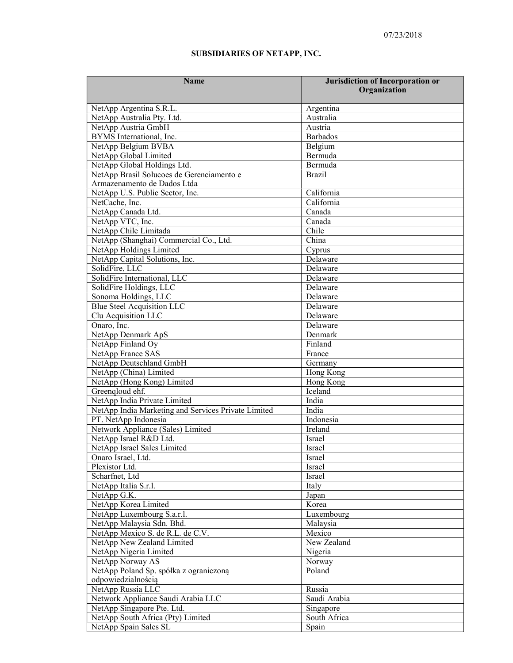## SUBSIDIARIES OF NETAPP, INC.

| <b>Name</b>                                         | Jurisdiction of Incorporation or |
|-----------------------------------------------------|----------------------------------|
|                                                     | Organization                     |
| NetApp Argentina S.R.L.                             | Argentina                        |
| NetApp Australia Pty. Ltd.                          | Australia                        |
| NetApp Austria GmbH                                 | Austria                          |
| BYMS International, Inc.                            | Barbados                         |
| NetApp Belgium BVBA                                 | Belgium                          |
| NetApp Global Limited                               | Bermuda                          |
| NetApp Global Holdings Ltd.                         | Bermuda                          |
| NetApp Brasil Solucoes de Gerenciamento e           | <b>Brazil</b>                    |
| Armazenamento de Dados Ltda                         |                                  |
| NetApp U.S. Public Sector, Inc.                     | California                       |
| NetCache, Inc.                                      | California                       |
| NetApp Canada Ltd.                                  | Canada                           |
| NetApp VTC, Inc.                                    | Canada                           |
| NetApp Chile Limitada                               | Chile                            |
| NetApp (Shanghai) Commercial Co., Ltd.              | China                            |
| NetApp Holdings Limited                             | Cyprus                           |
| NetApp Capital Solutions, Inc.                      | Delaware                         |
| SolidFire, LLC                                      | Delaware                         |
| SolidFire International, LLC                        | Delaware                         |
| SolidFire Holdings, LLC                             | Delaware                         |
| Sonoma Holdings, LLC                                | Delaware                         |
| <b>Blue Steel Acquisition LLC</b>                   | Delaware                         |
| Clu Acquisition LLC                                 | Delaware                         |
| Onaro, Inc.                                         | Delaware                         |
| NetApp Denmark ApS                                  | Denmark                          |
| NetApp Finland Oy                                   | Finland                          |
| NetApp France SAS                                   | France                           |
| NetApp Deutschland GmbH                             | Germany                          |
| NetApp (China) Limited                              | Hong Kong                        |
| NetApp (Hong Kong) Limited                          | Hong Kong                        |
| Greenqloud ehf.                                     | Iceland                          |
| NetApp India Private Limited                        | India                            |
| NetApp India Marketing and Services Private Limited | India                            |
| PT. NetApp Indonesia                                | Indonesia                        |
| Network Appliance (Sales) Limited                   | Ireland                          |
| NetApp Israel R&D Ltd.                              | Israel                           |
| NetApp Israel Sales Limited                         | Israel                           |
| Onaro Israel, Ltd.                                  | Israel                           |
| Plexistor Ltd.                                      | Israel                           |
| Scharfnet, Ltd                                      | Israel                           |
| NetApp Italia S.r.l.                                | Italy                            |
| NetApp G.K.                                         | Japan                            |
| NetApp Korea Limited                                | Korea                            |
| NetApp Luxembourg S.a.r.l.                          | Luxembourg                       |
| NetApp Malaysia Sdn. Bhd.                           | Malaysia                         |
| NetApp Mexico S. de R.L. de C.V.                    | Mexico                           |
| NetApp New Zealand Limited                          | New Zealand                      |
| NetApp Nigeria Limited                              | Nigeria                          |
| NetApp Norway AS                                    | Norway                           |
| NetApp Poland Sp. spółka z ograniczoną              | Poland                           |
| odpowiedzialnością                                  |                                  |
| NetApp Russia LLC                                   | Russia                           |
| Network Appliance Saudi Arabia LLC                  | Saudi Arabia                     |
| NetApp Singapore Pte. Ltd.                          | Singapore                        |
| NetApp South Africa (Pty) Limited                   | South Africa                     |
| NetApp Spain Sales SL                               | Spain                            |